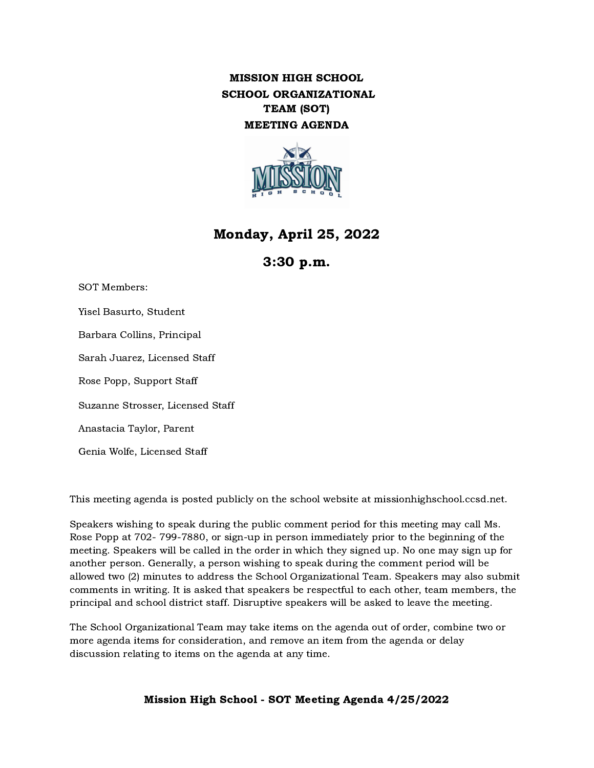MISSION HIGH SCHOOL SCHOOL ORGANIZATIONAL TEAM (SOT) MEETING AGENDA



# Monday, April 25, 2022

# 3:30 p.m.

SOT Members: Yisel Basurto, Student Barbara Collins, Principal Sarah Juarez, Licensed Staff Rose Popp, Support Staff Suzanne Strosser, Licensed Staff

Anastacia Taylor, Parent

Genia Wolfe, Licensed Staff

This meeting agenda is posted publicly on the school website at missionhighschool.ccsd.net.

Speakers wishing to speak during the public comment period for this meeting may call Ms. Rose Popp at 702- 799-7880, or sign-up in person immediately prior to the beginning of the meeting. Speakers will be called in the order in which they signed up. No one may sign up for another person. Generally, a person wishing to speak during the comment period will be allowed two (2) minutes to address the School Organizational Team. Speakers may also submit comments in writing. It is asked that speakers be respectful to each other, team members, the principal and school district staff. Disruptive speakers will be asked to leave the meeting.

The School Organizational Team may take items on the agenda out of order, combine two or more agenda items for consideration, and remove an item from the agenda or delay discussion relating to items on the agenda at any time.

Mission High School - SOT Meeting Agenda 4/25/2022